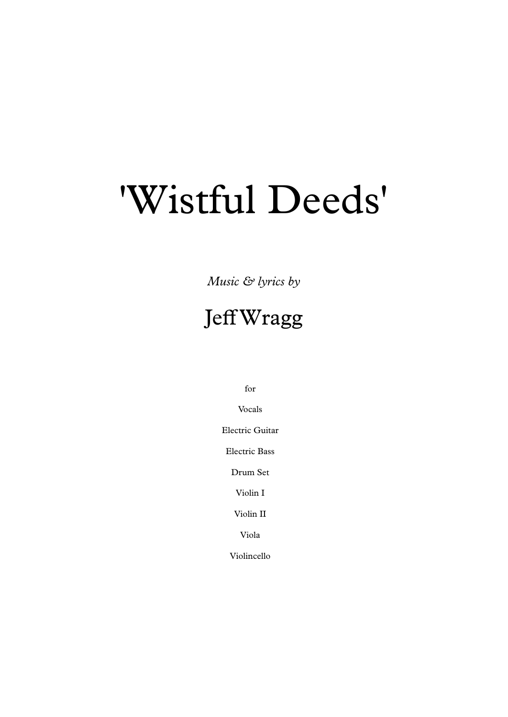## 'Wistful Deeds'

*Music & lyrics by*

## JeffWragg

for

Vocals

Electric Guitar

Electric Bass

Drum Set

Violin I

Violin II

Viola

Violincello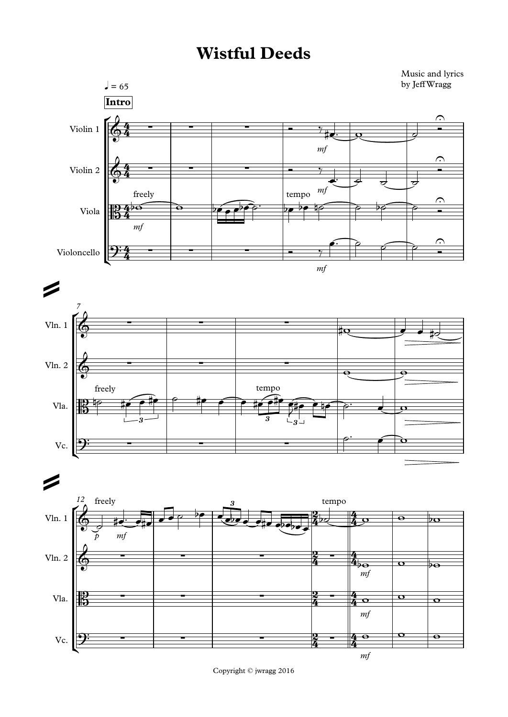## **Wistful Deeds**



Copyright © jwragg 2016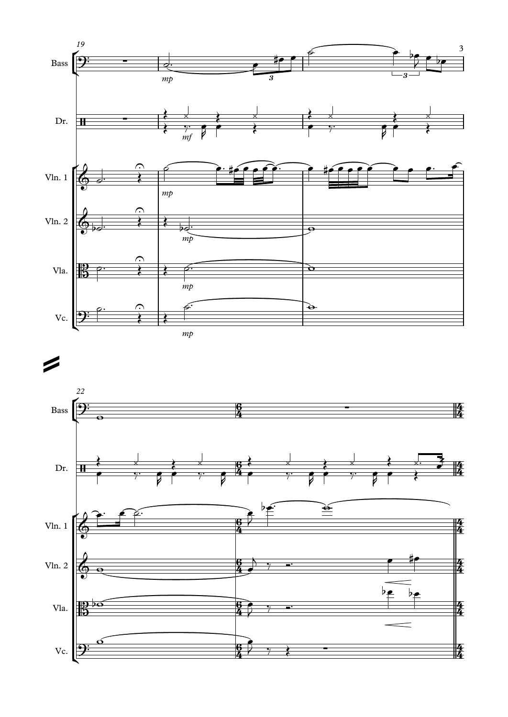



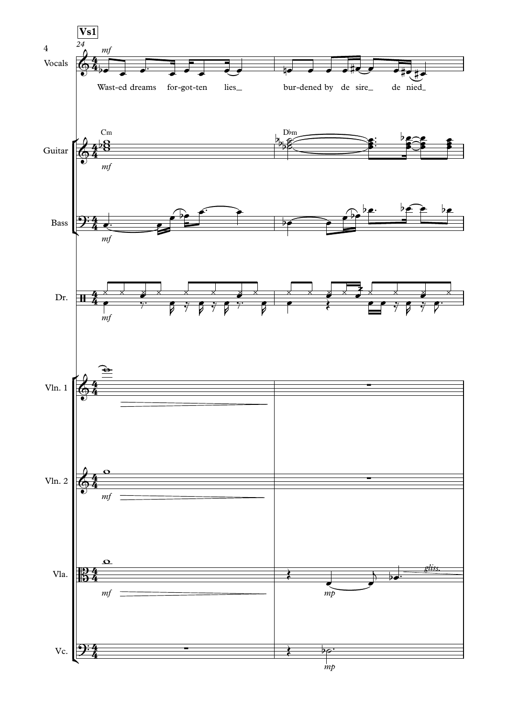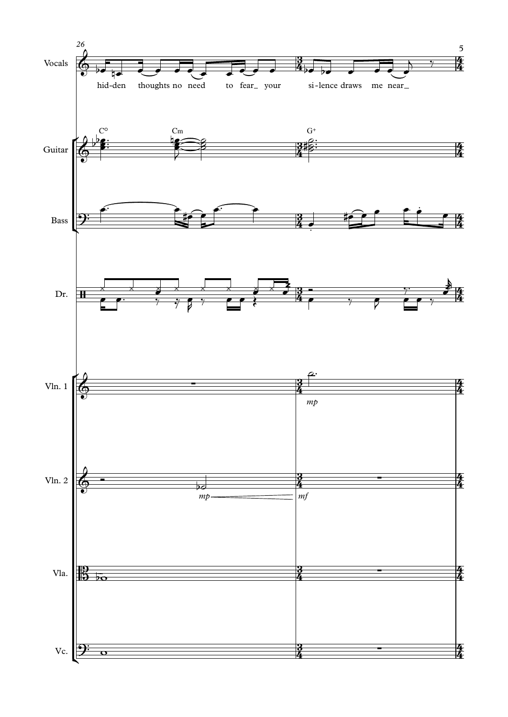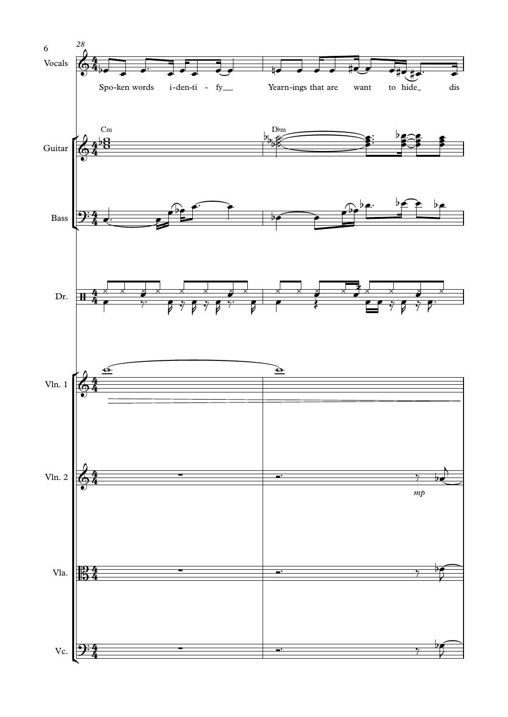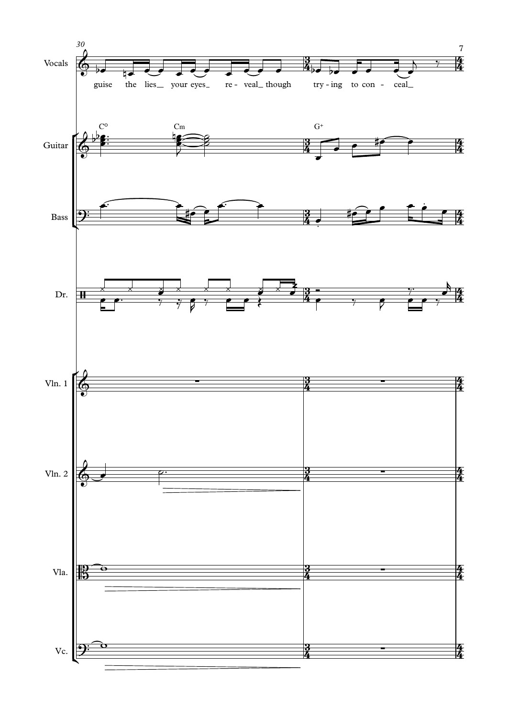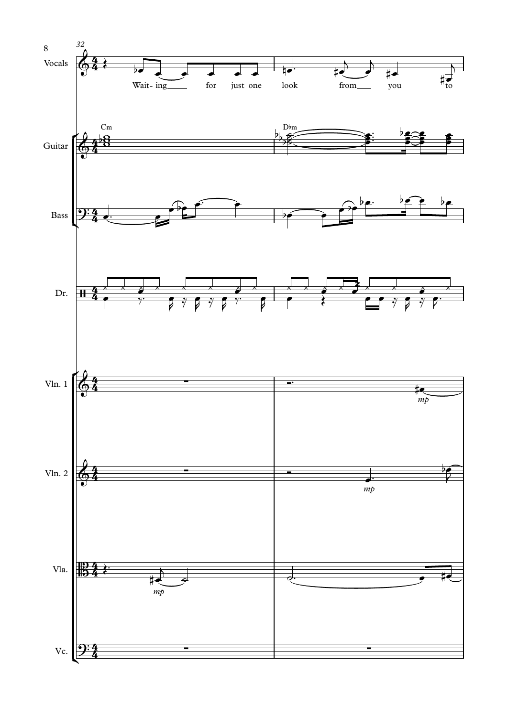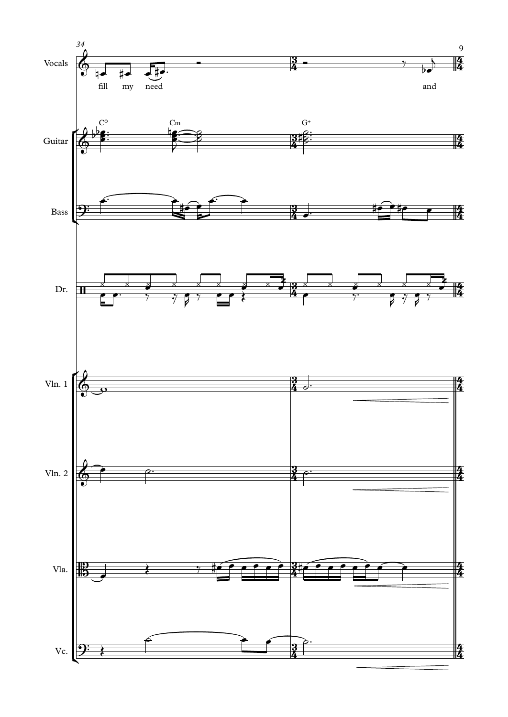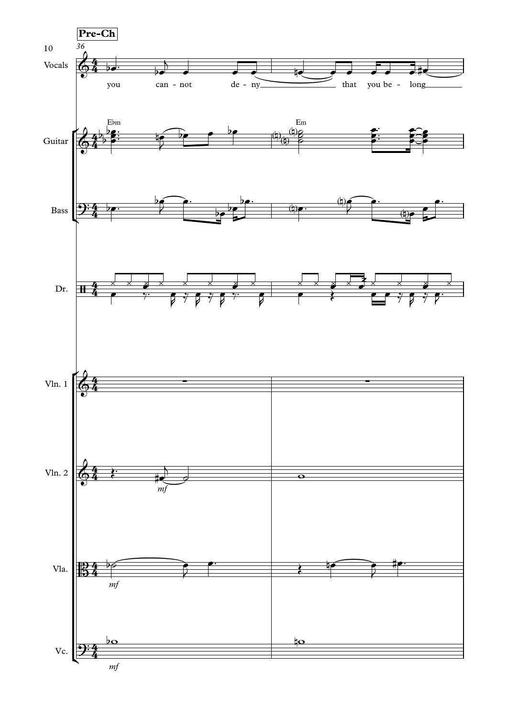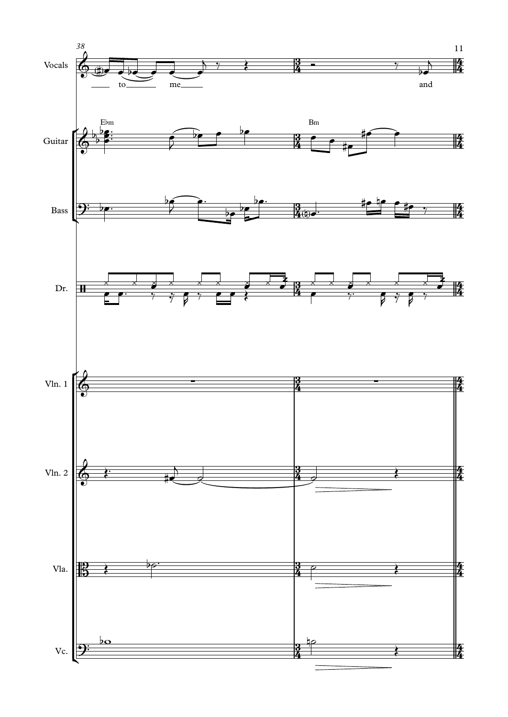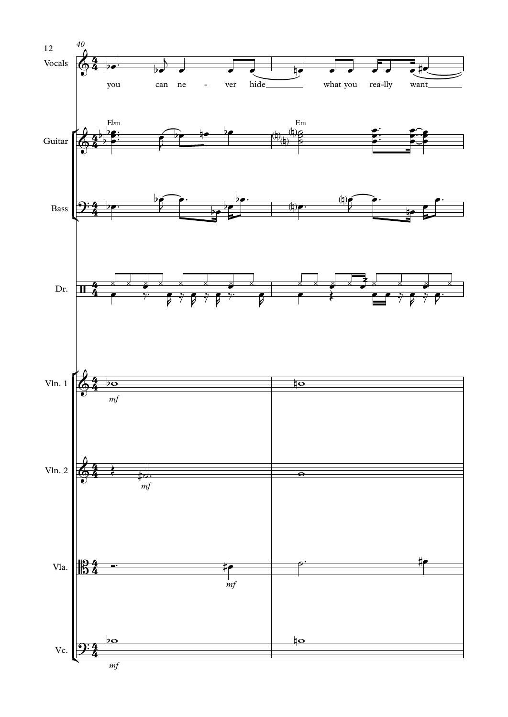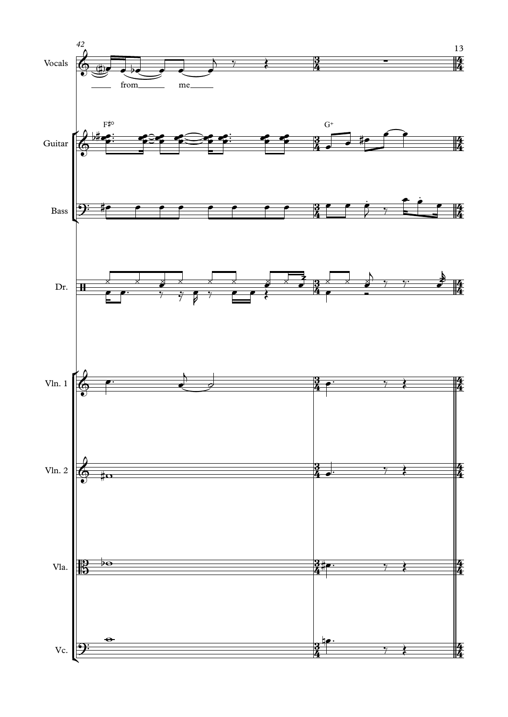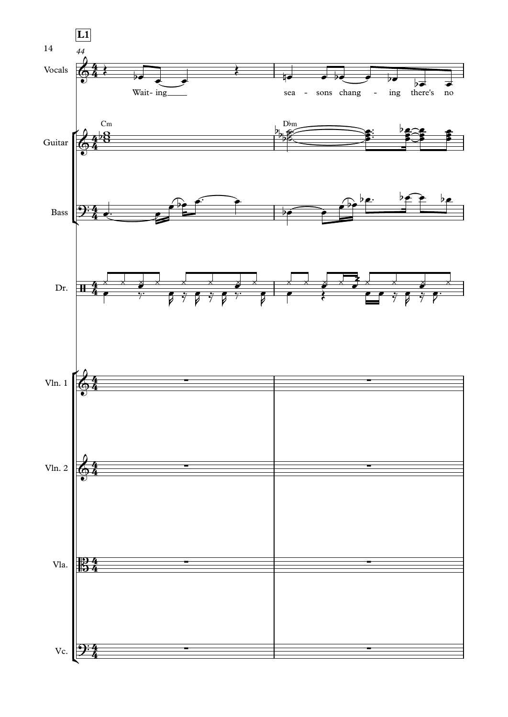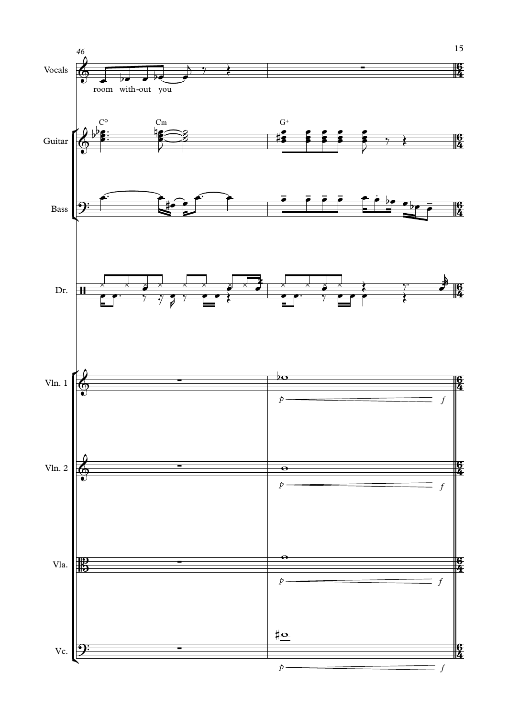

15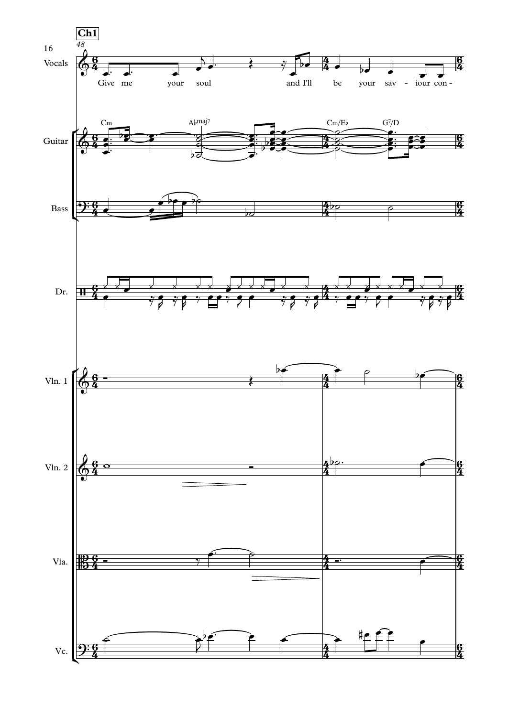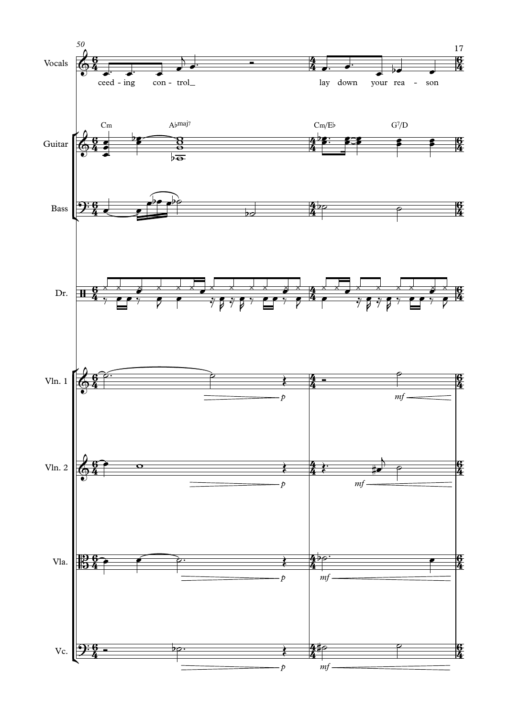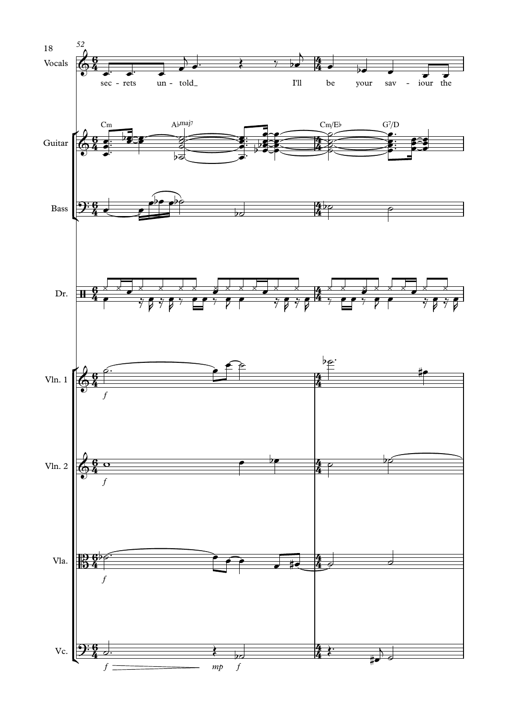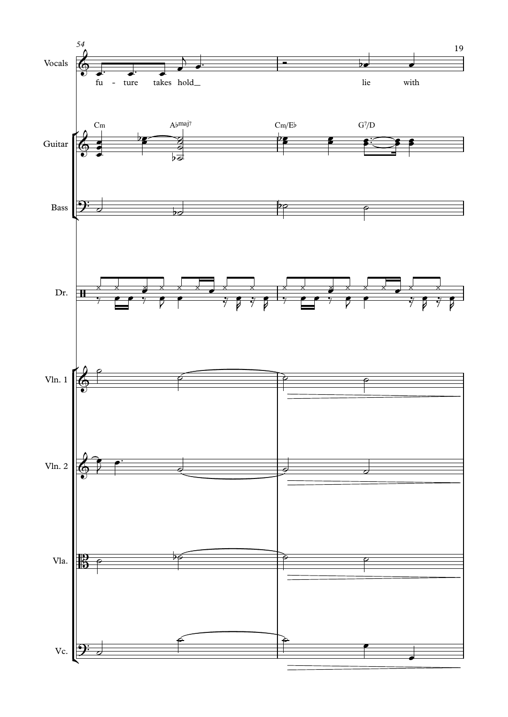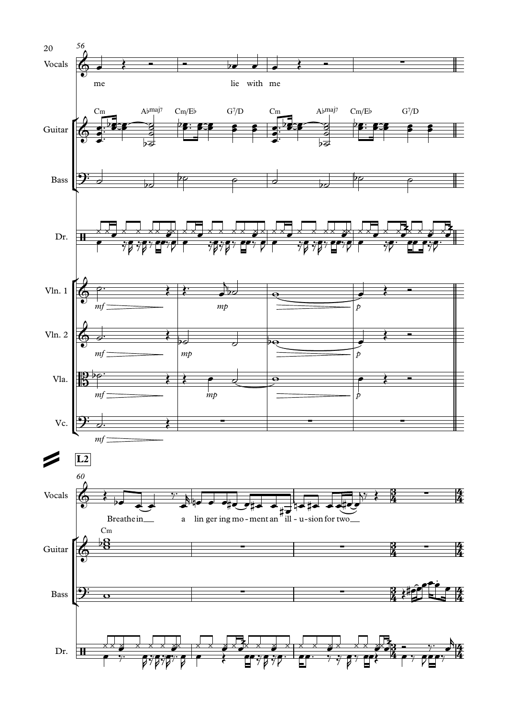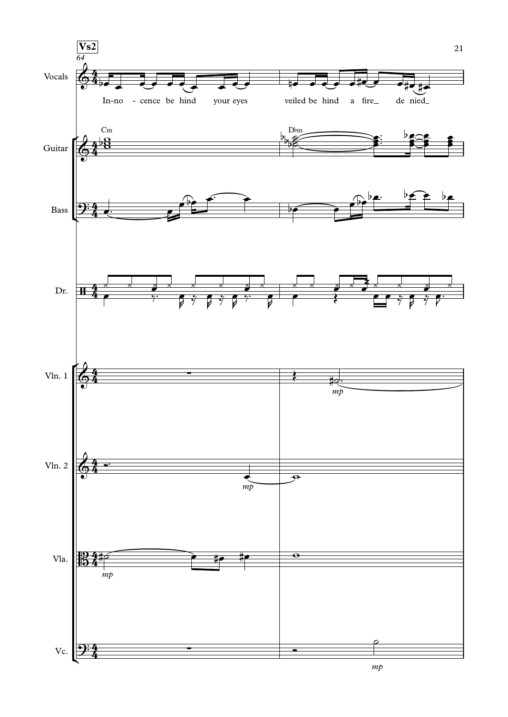

*mp*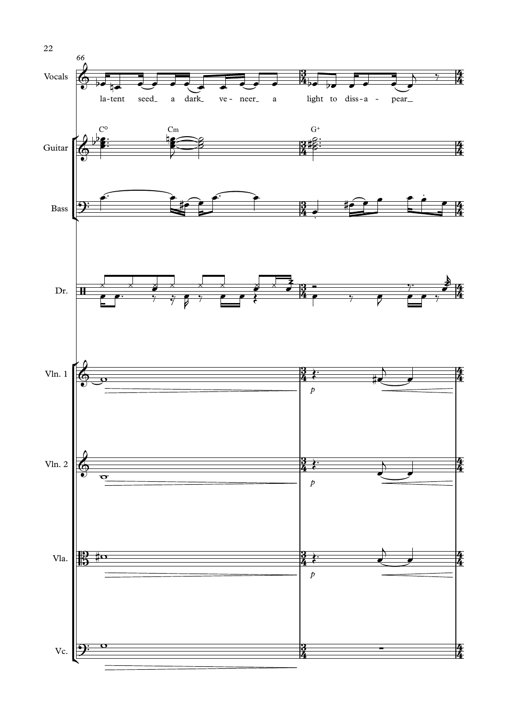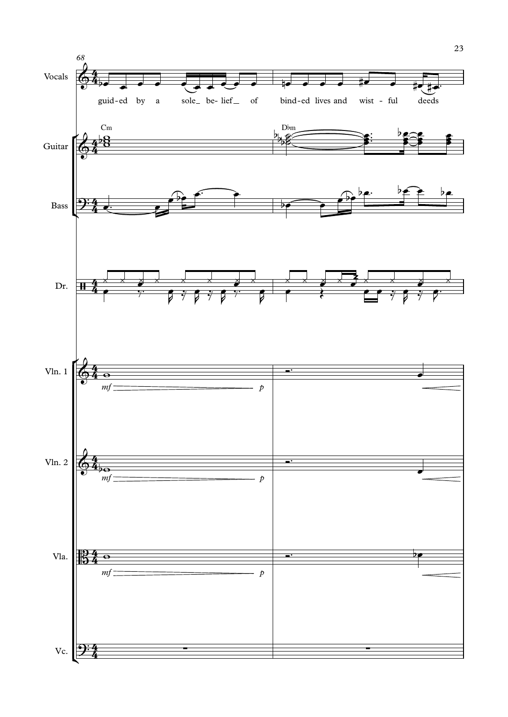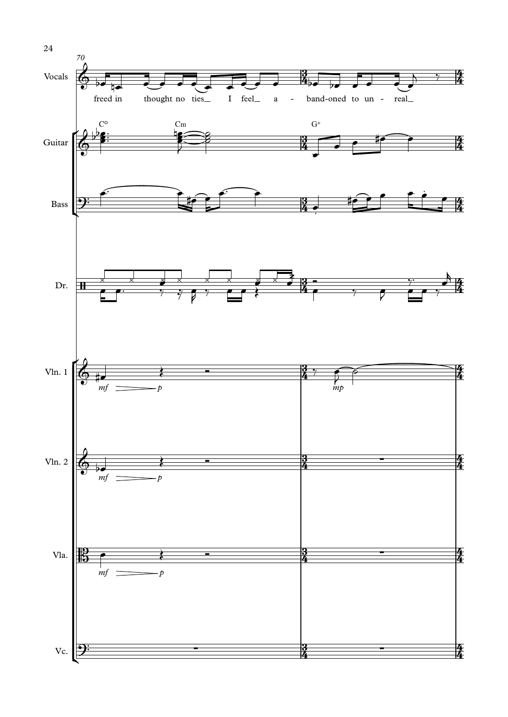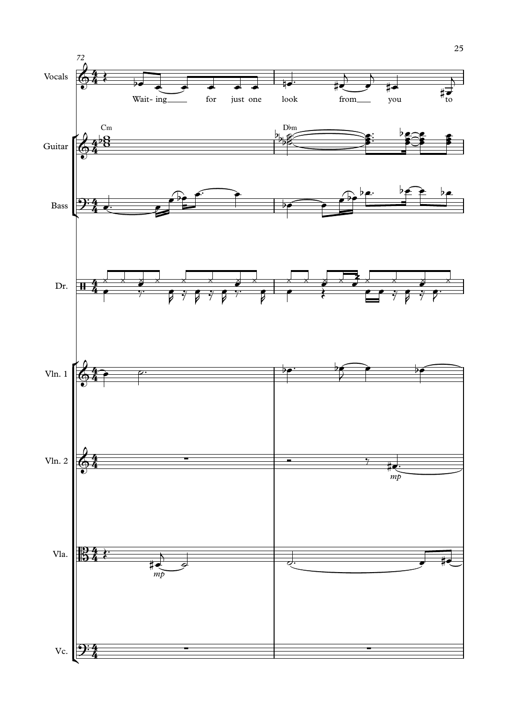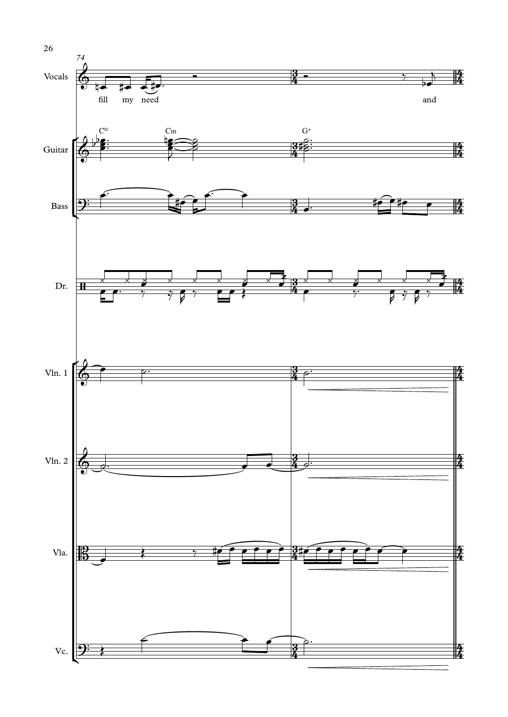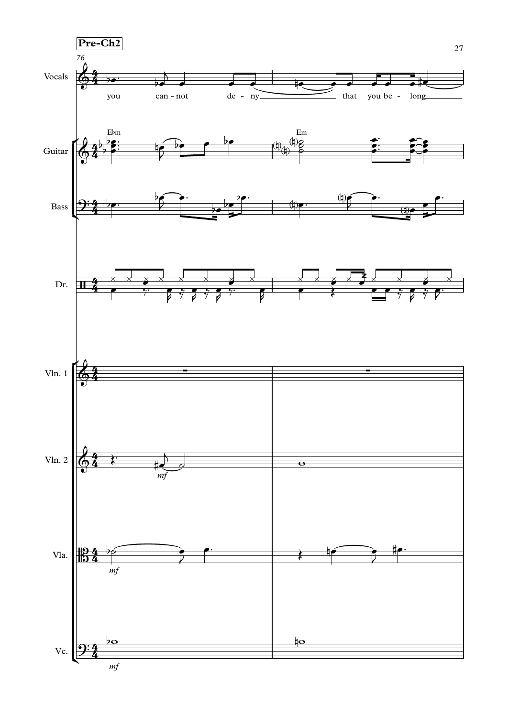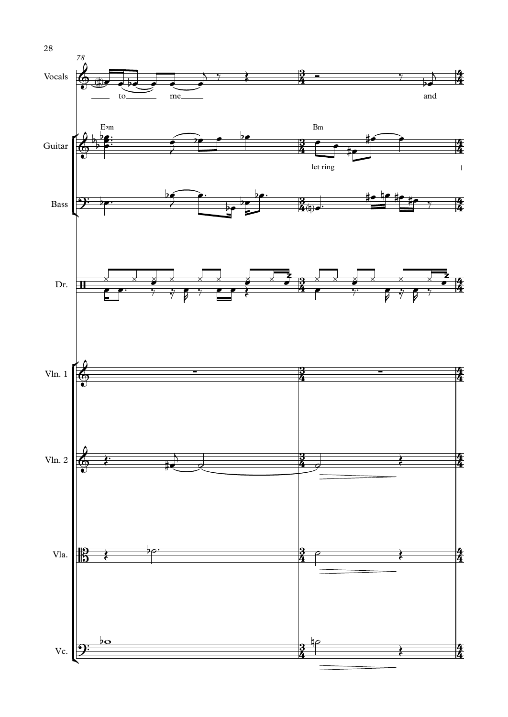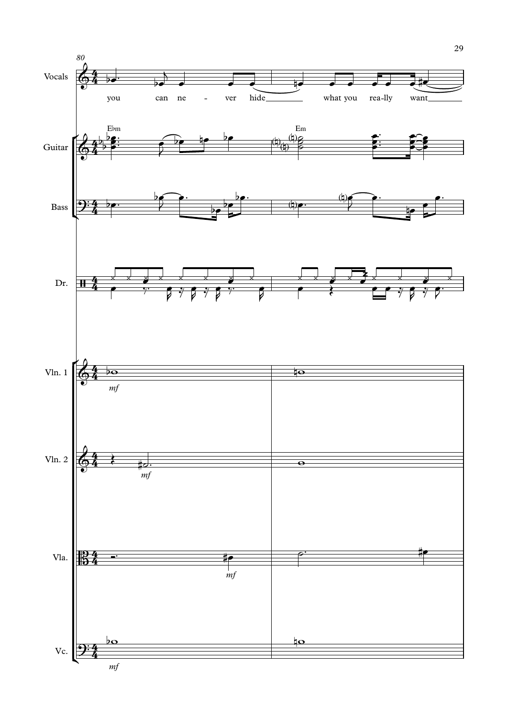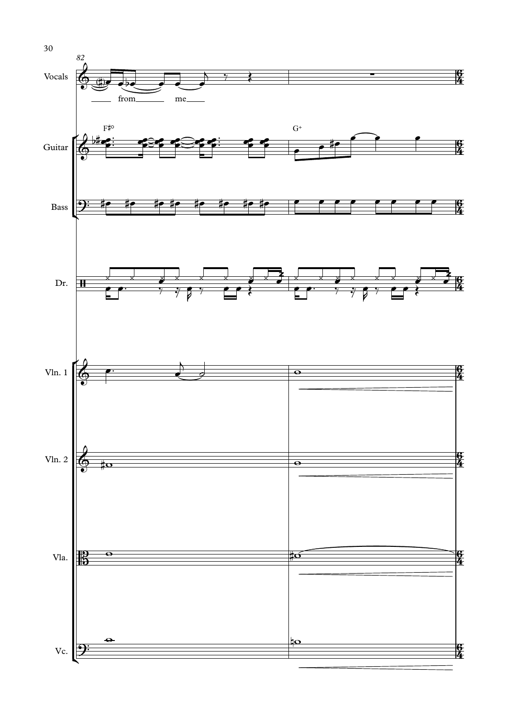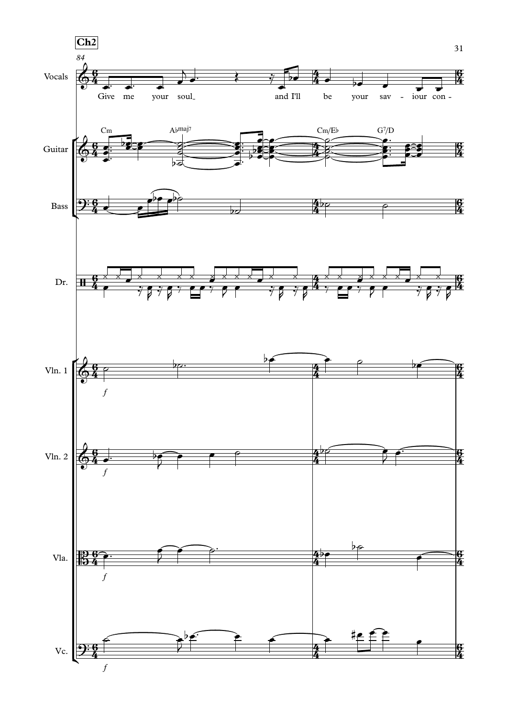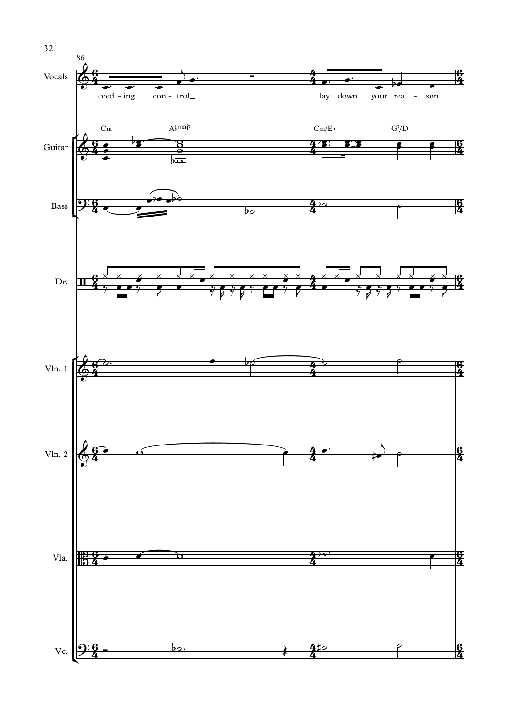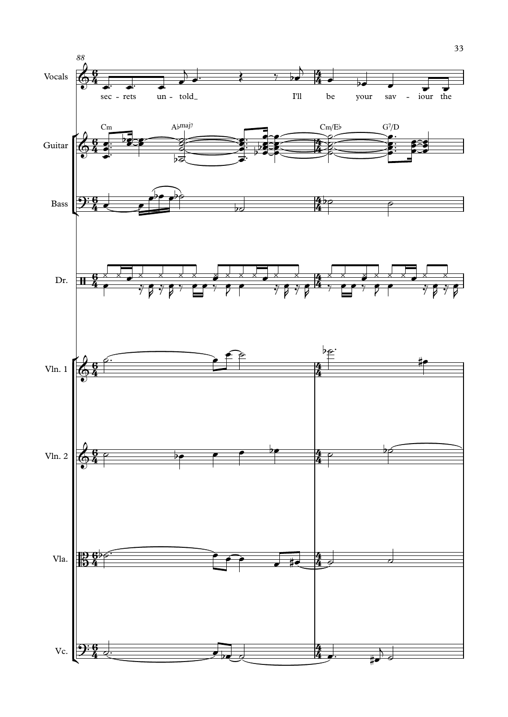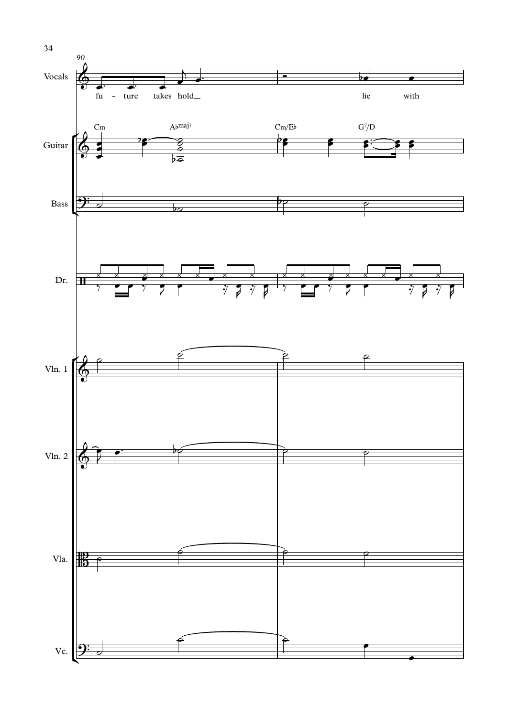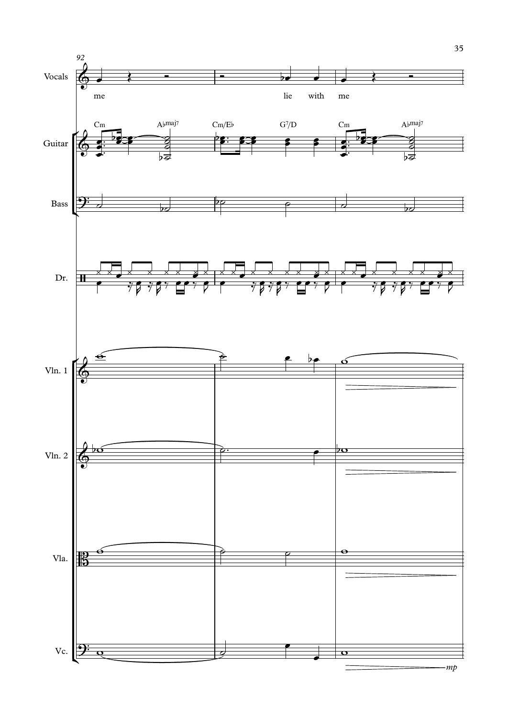

·mp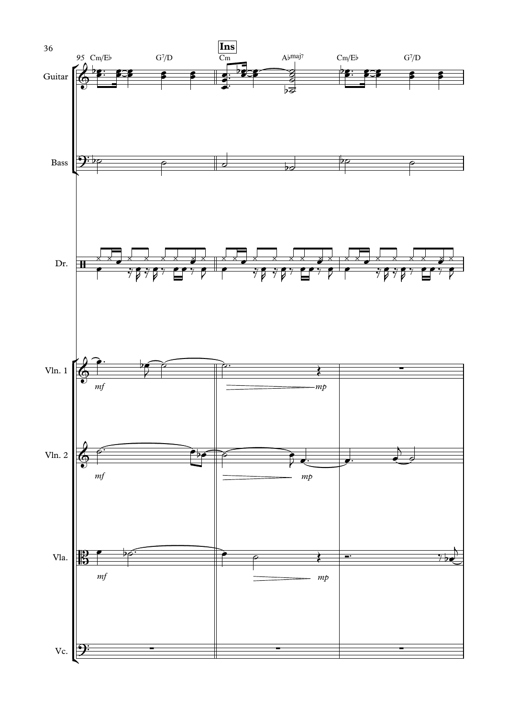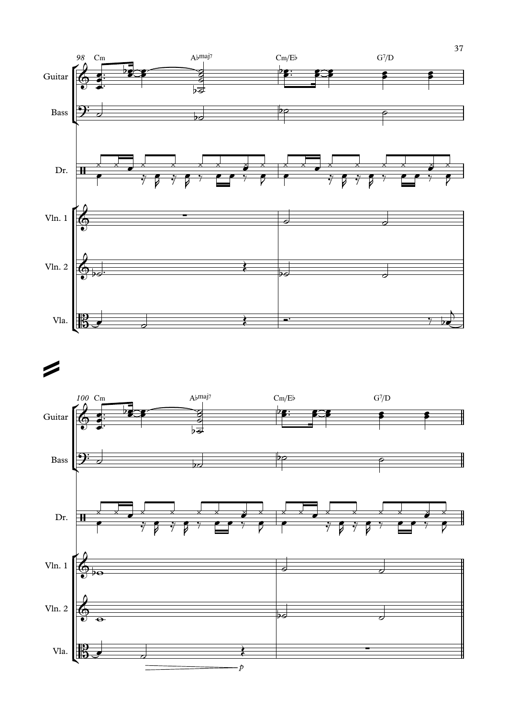

 $\mathbb{Z}$  and the set of  $\mathbb{Z}$ 

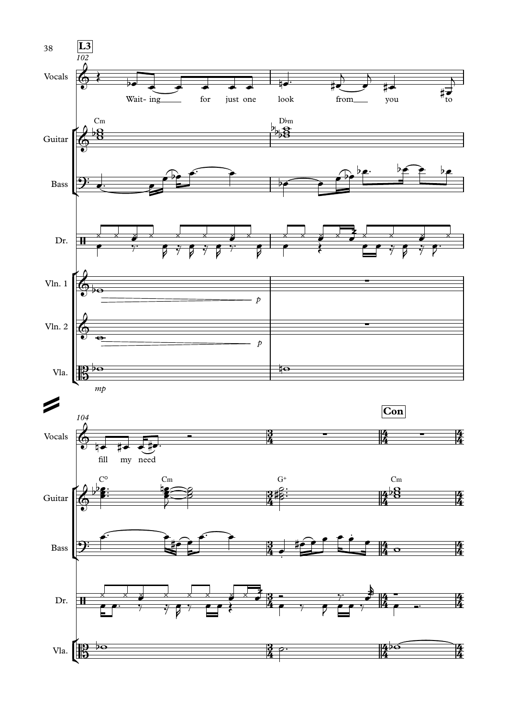